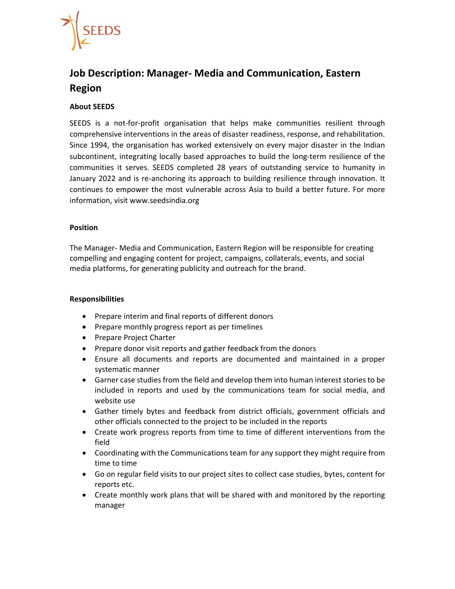

# **Job Description: Manager‐ Media and Communication, Eastern Region**

# **About SEEDS**

SEEDS is a not-for-profit organisation that helps make communities resilient through comprehensive interventions in the areas of disaster readiness, response, and rehabilitation. Since 1994, the organisation has worked extensively on every major disaster in the Indian subcontinent, integrating locally based approaches to build the long-term resilience of the communities it serves. SEEDS completed 28 years of outstanding service to humanity in January 2022 and is re-anchoring its approach to building resilience through innovation. It continues to empower the most vulnerable across Asia to build a better future. For more information, visit www.seedsindia.org

# **Position**

The Manager‐ Media and Communication, Eastern Region will be responsible for creating compelling and engaging content for project, campaigns, collaterals, events, and social media platforms, for generating publicity and outreach for the brand.

# **Responsibilities**

- Prepare interim and final reports of different donors
- Prepare monthly progress report as per timelines
- Prepare Project Charter
- Prepare donor visit reports and gather feedback from the donors
- Ensure all documents and reports are documented and maintained in a proper systematic manner
- Garner case studies from the field and develop them into human interest stories to be included in reports and used by the communications team for social media, and website use
- Gather timely bytes and feedback from district officials, government officials and other officials connected to the project to be included in the reports
- Create work progress reports from time to time of different interventions from the field
- Coordinating with the Communications team for any support they might require from time to time
- Go on regular field visits to our project sites to collect case studies, bytes, content for reports etc.
- Create monthly work plans that will be shared with and monitored by the reporting manager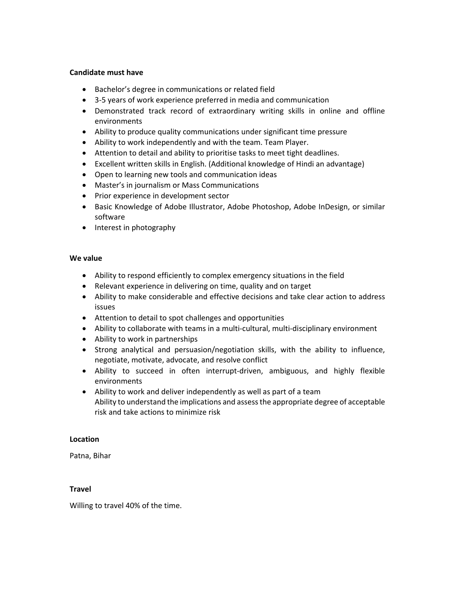# **Candidate must have**

- Bachelor's degree in communications or related field
- 3‐5 years of work experience preferred in media and communication
- Demonstrated track record of extraordinary writing skills in online and offline environments
- Ability to produce quality communications under significant time pressure
- Ability to work independently and with the team. Team Player.
- Attention to detail and ability to prioritise tasks to meet tight deadlines.
- Excellent written skills in English. (Additional knowledge of Hindi an advantage)
- Open to learning new tools and communication ideas
- Master's in journalism or Mass Communications
- Prior experience in development sector
- Basic Knowledge of Adobe Illustrator, Adobe Photoshop, Adobe InDesign, or similar software
- Interest in photography

#### We value

- Ability to respond efficiently to complex emergency situations in the field
- Relevant experience in delivering on time, quality and on target
- Ability to make considerable and effective decisions and take clear action to address issues
- Attention to detail to spot challenges and opportunities
- Ability to collaborate with teams in a multi-cultural, multi-disciplinary environment
- Ability to work in partnerships
- Strong analytical and persuasion/negotiation skills, with the ability to influence, negotiate, motivate, advocate, and resolve conflict
- Ability to succeed in often interrupt‐driven, ambiguous, and highly flexible environments
- Ability to work and deliver independently as well as part of a team Ability to understand the implications and assess the appropriate degree of acceptable risk and take actions to minimize risk

# **Location**

Patna, Bihar

# **Travel**

Willing to travel 40% of the time.